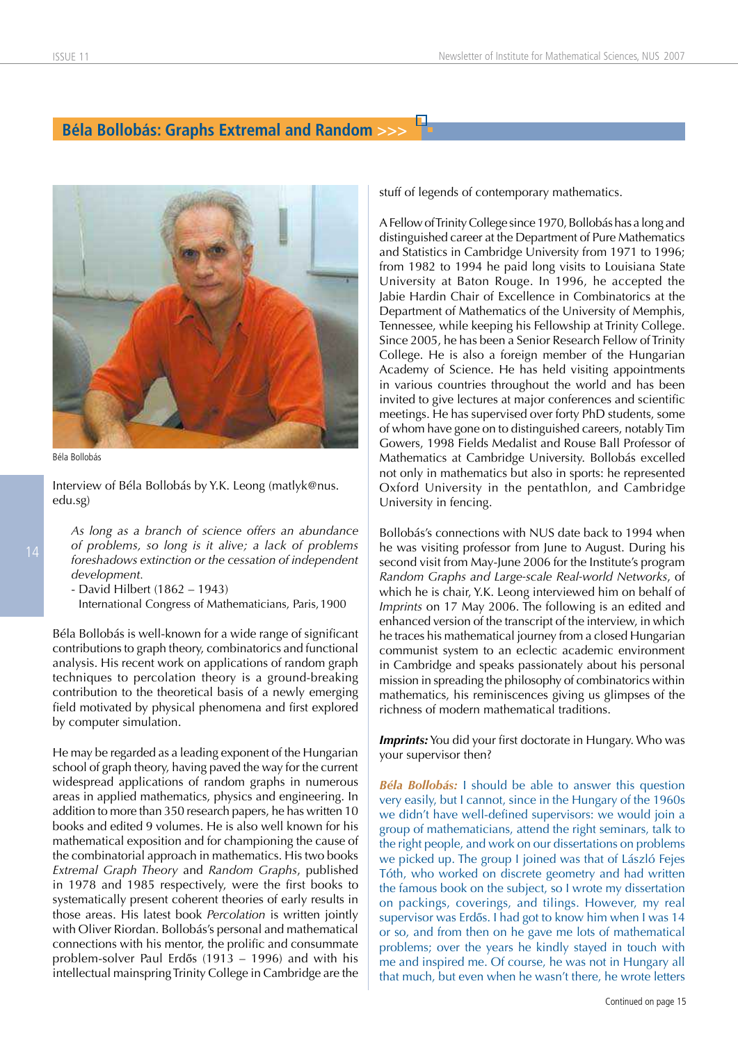# **Béla Bollobás: Graphs Extremal and Random >>>**



Béla Bollobás

Interview of Béla Bollobás by Y.K. Leong (matlyk@nus. edu.sg)

 *As long as a branch of science offers an abundance of problems, so long is it alive; a lack of problems foreshadows extinction or the cessation of independent development.*

- David Hilbert (1862 1943)
- International Congress of Mathematicians, Paris, 1900

Béla Bollobás is well-known for a wide range of significant contributions to graph theory, combinatorics and functional analysis. His recent work on applications of random graph techniques to percolation theory is a ground-breaking contribution to the theoretical basis of a newly emerging field motivated by physical phenomena and first explored by computer simulation.

He may be regarded as a leading exponent of the Hungarian school of graph theory, having paved the way for the current widespread applications of random graphs in numerous areas in applied mathematics, physics and engineering. In addition to more than 350 research papers, he has written 10 books and edited 9 volumes. He is also well known for his mathematical exposition and for championing the cause of the combinatorial approach in mathematics. His two books *Extremal Graph Theory* and *Random Graphs*, published in 1978 and 1985 respectively, were the first books to systematically present coherent theories of early results in those areas. His latest book *Percolation* is written jointly with Oliver Riordan. Bollobás's personal and mathematical connections with his mentor, the prolific and consummate problem-solver Paul Erdős (1913 – 1996) and with his intellectual mainspring Trinity College in Cambridge are the

stuff of legends of contemporary mathematics.

A Fellow of Trinity College since 1970, Bollobás has a long and distinguished career at the Department of Pure Mathematics and Statistics in Cambridge University from 1971 to 1996; from 1982 to 1994 he paid long visits to Louisiana State University at Baton Rouge. In 1996, he accepted the Jabie Hardin Chair of Excellence in Combinatorics at the Department of Mathematics of the University of Memphis, Tennessee, while keeping his Fellowship at Trinity College. Since 2005, he has been a Senior Research Fellow of Trinity College. He is also a foreign member of the Hungarian Academy of Science. He has held visiting appointments in various countries throughout the world and has been invited to give lectures at major conferences and scientific meetings. He has supervised over forty PhD students, some of whom have gone on to distinguished careers, notably Tim Gowers, 1998 Fields Medalist and Rouse Ball Professor of Mathematics at Cambridge University. Bollobás excelled not only in mathematics but also in sports: he represented Oxford University in the pentathlon, and Cambridge University in fencing.

Bollobás's connections with NUS date back to 1994 when he was visiting professor from June to August. During his second visit from May-June 2006 for the Institute's program *Random Graphs and Large-scale Real-world Networks*, of which he is chair, Y.K. Leong interviewed him on behalf of *Imprints* on 17 May 2006. The following is an edited and enhanced version of the transcript of the interview, in which he traces his mathematical journey from a closed Hungarian communist system to an eclectic academic environment in Cambridge and speaks passionately about his personal mission in spreading the philosophy of combinatorics within mathematics, his reminiscences giving us glimpses of the richness of modern mathematical traditions.

**Imprints:** You did your first doctorate in Hungary. Who was your supervisor then?

*Béla Bollobás:* I should be able to answer this question very easily, but I cannot, since in the Hungary of the 1960s we didn't have well-defined supervisors: we would join a group of mathematicians, attend the right seminars, talk to the right people, and work on our dissertations on problems we picked up. The group I joined was that of László Fejes Tóth, who worked on discrete geometry and had written the famous book on the subject, so I wrote my dissertation on packings, coverings, and tilings. However, my real supervisor was Erdős. I had got to know him when I was 14 or so, and from then on he gave me lots of mathematical problems; over the years he kindly stayed in touch with me and inspired me. Of course, he was not in Hungary all that much, but even when he wasn't there, he wrote letters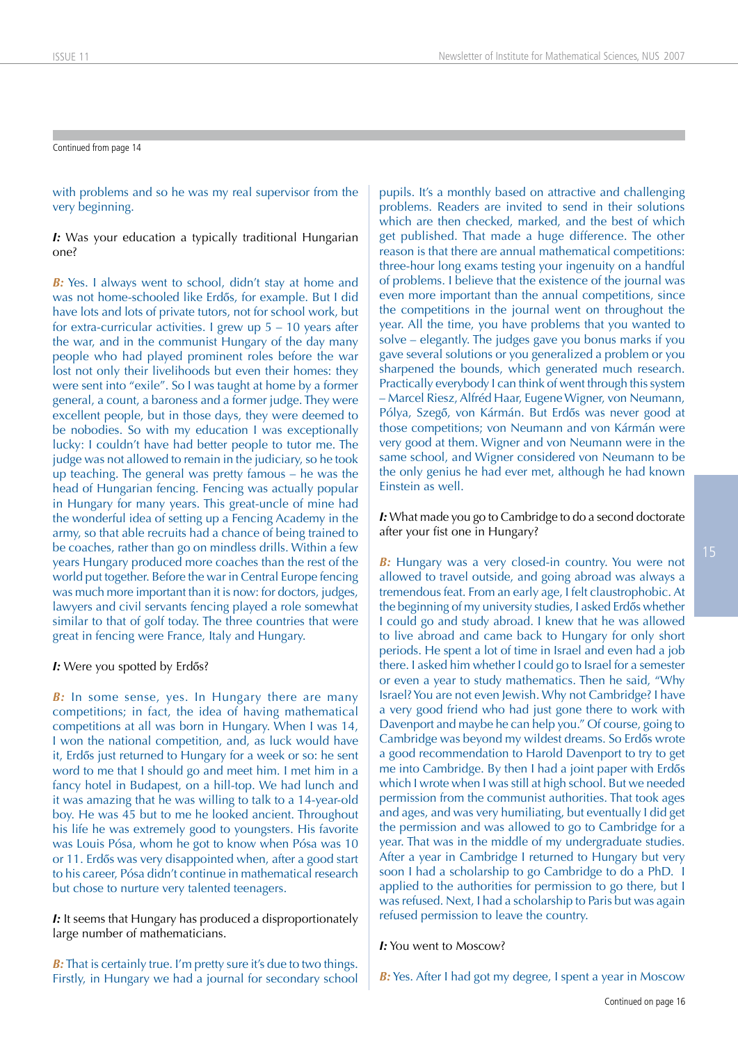with problems and so he was my real supervisor from the very beginning.

*I:* Was your education a typically traditional Hungarian one?

**B:** Yes. I always went to school, didn't stay at home and was not home-schooled like Erdős, for example. But I did have lots and lots of private tutors, not for school work, but for extra-curricular activities. I grew up 5 – 10 years after the war, and in the communist Hungary of the day many people who had played prominent roles before the war lost not only their livelihoods but even their homes: they were sent into "exile". So I was taught at home by a former general, a count, a baroness and a former judge. They were excellent people, but in those days, they were deemed to be nobodies. So with my education I was exceptionally lucky: I couldn't have had better people to tutor me. The judge was not allowed to remain in the judiciary, so he took up teaching. The general was pretty famous – he was the head of Hungarian fencing. Fencing was actually popular in Hungary for many years. This great-uncle of mine had the wonderful idea of setting up a Fencing Academy in the army, so that able recruits had a chance of being trained to be coaches, rather than go on mindless drills. Within a few years Hungary produced more coaches than the rest of the world put together. Before the war in Central Europe fencing was much more important than it is now: for doctors, judges, lawyers and civil servants fencing played a role somewhat similar to that of golf today. The three countries that were great in fencing were France, Italy and Hungary.

## *I:* Were you spotted by Erdős?

**B:** In some sense, yes. In Hungary there are many competitions; in fact, the idea of having mathematical competitions at all was born in Hungary. When I was 14, I won the national competition, and, as luck would have it, Erdős just returned to Hungary for a week or so: he sent word to me that I should go and meet him. I met him in a fancy hotel in Budapest, on a hill-top. We had lunch and it was amazing that he was willing to talk to a 14-year-old boy. He was 45 but to me he looked ancient. Throughout his life he was extremely good to youngsters. His favorite was Louis Pósa, whom he got to know when Pósa was 10 or 11. Erdős was very disappointed when, after a good start to his career, Pósa didn't continue in mathematical research but chose to nurture very talented teenagers.

*I:* It seems that Hungary has produced a disproportionately large number of mathematicians.

**B:** That is certainly true. I'm pretty sure it's due to two things. Firstly, in Hungary we had a journal for secondary school pupils. It's a monthly based on attractive and challenging problems. Readers are invited to send in their solutions which are then checked, marked, and the best of which get published. That made a huge difference. The other reason is that there are annual mathematical competitions: three-hour long exams testing your ingenuity on a handful of problems. I believe that the existence of the journal was even more important than the annual competitions, since the competitions in the journal went on throughout the year. All the time, you have problems that you wanted to solve – elegantly. The judges gave you bonus marks if you gave several solutions or you generalized a problem or you sharpened the bounds, which generated much research. Practically everybody I can think of went through this system – Marcel Riesz, Alfréd Haar, Eugene Wigner, von Neumann, Pólya, Szegő, von Kármán. But Erdős was never good at those competitions; von Neumann and von Kármán were very good at them. Wigner and von Neumann were in the same school, and Wigner considered von Neumann to be the only genius he had ever met, although he had known Einstein as well.

*I:* What made you go to Cambridge to do a second doctorate after your fist one in Hungary?

**B:** Hungary was a very closed-in country. You were not allowed to travel outside, and going abroad was always a tremendous feat. From an early age, I felt claustrophobic. At the beginning of my university studies, I asked Erdős whether I could go and study abroad. I knew that he was allowed to live abroad and came back to Hungary for only short periods. He spent a lot of time in Israel and even had a job there. I asked him whether I could go to Israel for a semester or even a year to study mathematics. Then he said, "Why Israel? You are not even Jewish. Why not Cambridge? I have a very good friend who had just gone there to work with Davenport and maybe he can help you." Of course, going to Cambridge was beyond my wildest dreams. So Erdős wrote a good recommendation to Harold Davenport to try to get me into Cambridge. By then I had a joint paper with Erdős which I wrote when I was still at high school. But we needed permission from the communist authorities. That took ages and ages, and was very humiliating, but eventually I did get the permission and was allowed to go to Cambridge for a year. That was in the middle of my undergraduate studies. After a year in Cambridge I returned to Hungary but very soon I had a scholarship to go Cambridge to do a PhD. I applied to the authorities for permission to go there, but I was refused. Next, I had a scholarship to Paris but was again refused permission to leave the country.

## *I:* You went to Moscow?

**B:** Yes. After I had got my degree, I spent a year in Moscow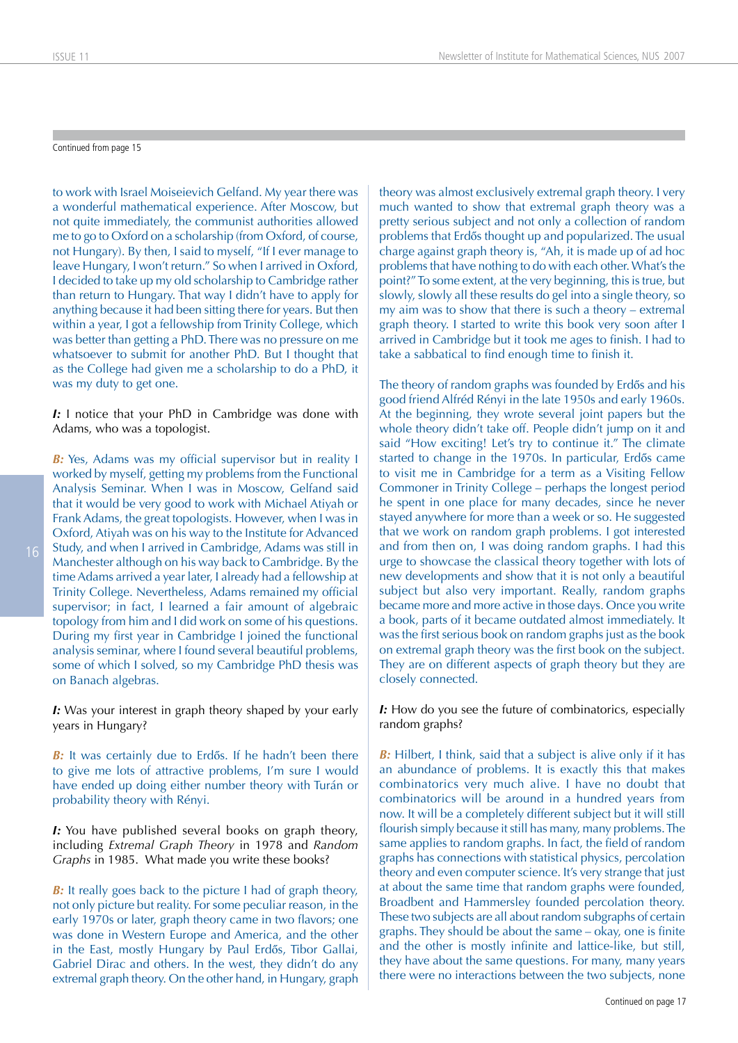to work with Israel Moiseievich Gelfand. My year there was a wonderful mathematical experience. After Moscow, but not quite immediately, the communist authorities allowed me to go to Oxford on a scholarship (from Oxford, of course, not Hungary). By then, I said to myself, "If I ever manage to leave Hungary, I won't return." So when I arrived in Oxford, I decided to take up my old scholarship to Cambridge rather than return to Hungary. That way I didn't have to apply for anything because it had been sitting there for years. But then within a year, I got a fellowship from Trinity College, which was better than getting a PhD. There was no pressure on me whatsoever to submit for another PhD. But I thought that as the College had given me a scholarship to do a PhD, it was my duty to get one.

*I:* I notice that your PhD in Cambridge was done with Adams, who was a topologist.

**B:** Yes, Adams was my official supervisor but in reality I worked by myself, getting my problems from the Functional Analysis Seminar. When I was in Moscow, Gelfand said that it would be very good to work with Michael Atiyah or Frank Adams, the great topologists. However, when I was in Oxford, Atiyah was on his way to the Institute for Advanced Study, and when I arrived in Cambridge, Adams was still in Manchester although on his way back to Cambridge. By the time Adams arrived a year later, I already had a fellowship at Trinity College. Nevertheless, Adams remained my official supervisor; in fact, I learned a fair amount of algebraic topology from him and I did work on some of his questions. During my first year in Cambridge I joined the functional analysis seminar, where I found several beautiful problems, some of which I solved, so my Cambridge PhD thesis was on Banach algebras.

*I:* Was your interest in graph theory shaped by your early years in Hungary?

*B*: It was certainly due to Erdős. If he hadn't been there to give me lots of attractive problems, I'm sure I would have ended up doing either number theory with Turán or probability theory with Rényi.

*I:* You have published several books on graph theory, including *Extremal Graph Theory* in 1978 and *Random Graphs* in 1985. What made you write these books?

*B*: It really goes back to the picture I had of graph theory, not only picture but reality. For some peculiar reason, in the early 1970s or later, graph theory came in two flavors; one was done in Western Europe and America, and the other in the East, mostly Hungary by Paul Erdős, Tibor Gallai, Gabriel Dirac and others. In the west, they didn't do any extremal graph theory. On the other hand, in Hungary, graph theory was almost exclusively extremal graph theory. I very much wanted to show that extremal graph theory was a pretty serious subject and not only a collection of random problems that Erdős thought up and popularized. The usual charge against graph theory is, "Ah, it is made up of ad hoc problems that have nothing to do with each other. What's the point?" To some extent, at the very beginning, this is true, but slowly, slowly all these results do gel into a single theory, so my aim was to show that there is such a theory – extremal graph theory. I started to write this book very soon after I arrived in Cambridge but it took me ages to finish. I had to take a sabbatical to find enough time to finish it.

The theory of random graphs was founded by Erdős and his good friend Alfréd Rényi in the late 1950s and early 1960s. At the beginning, they wrote several joint papers but the whole theory didn't take off. People didn't jump on it and said "How exciting! Let's try to continue it." The climate started to change in the 1970s. In particular, Erdős came to visit me in Cambridge for a term as a Visiting Fellow Commoner in Trinity College – perhaps the longest period he spent in one place for many decades, since he never stayed anywhere for more than a week or so. He suggested that we work on random graph problems. I got interested and from then on, I was doing random graphs. I had this urge to showcase the classical theory together with lots of new developments and show that it is not only a beautiful subject but also very important. Really, random graphs became more and more active in those days. Once you write a book, parts of it became outdated almost immediately. It was the first serious book on random graphs just as the book on extremal graph theory was the first book on the subject. They are on different aspects of graph theory but they are closely connected.

## *I:* How do you see the future of combinatorics, especially random graphs?

**B:** Hilbert, I think, said that a subject is alive only if it has an abundance of problems. It is exactly this that makes combinatorics very much alive. I have no doubt that combinatorics will be around in a hundred years from now. It will be a completely different subject but it will still flourish simply because it still has many, many problems. The same applies to random graphs. In fact, the field of random graphs has connections with statistical physics, percolation theory and even computer science. It's very strange that just at about the same time that random graphs were founded, Broadbent and Hammersley founded percolation theory. These two subjects are all about random subgraphs of certain graphs. They should be about the same – okay, one is finite and the other is mostly infinite and lattice-like, but still, they have about the same questions. For many, many years there were no interactions between the two subjects, none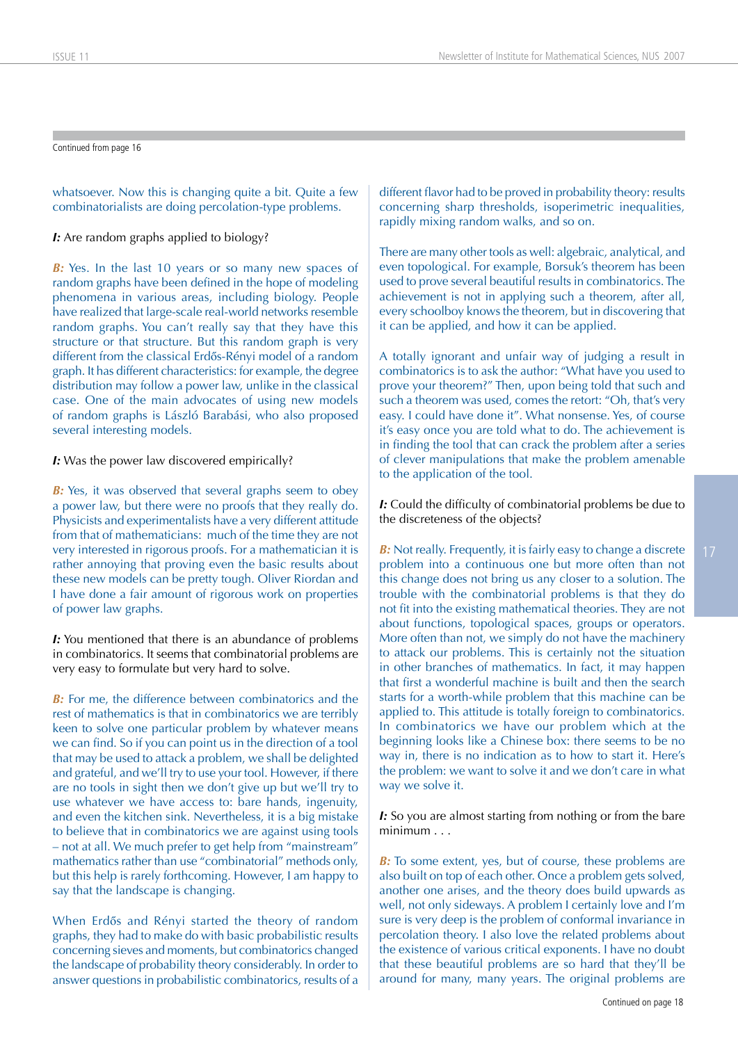whatsoever. Now this is changing quite a bit. Quite a few combinatorialists are doing percolation-type problems.

## *I*: Are random graphs applied to biology?

*B*: Yes. In the last 10 years or so many new spaces of random graphs have been defined in the hope of modeling phenomena in various areas, including biology. People have realized that large-scale real-world networks resemble random graphs. You can't really say that they have this structure or that structure. But this random graph is very different from the classical Erdős-Rényi model of a random graph. It has different characteristics: for example, the degree distribution may follow a power law, unlike in the classical case. One of the main advocates of using new models of random graphs is László Barabási, who also proposed several interesting models.

## *I:* Was the power law discovered empirically?

*B*: Yes, it was observed that several graphs seem to obey a power law, but there were no proofs that they really do. Physicists and experimentalists have a very different attitude from that of mathematicians: much of the time they are not very interested in rigorous proofs. For a mathematician it is rather annoying that proving even the basic results about these new models can be pretty tough. Oliver Riordan and I have done a fair amount of rigorous work on properties of power law graphs.

*I:* You mentioned that there is an abundance of problems in combinatorics. It seems that combinatorial problems are very easy to formulate but very hard to solve.

*B*: For me, the difference between combinatorics and the rest of mathematics is that in combinatorics we are terribly keen to solve one particular problem by whatever means we can find. So if you can point us in the direction of a tool that may be used to attack a problem, we shall be delighted and grateful, and we'll try to use your tool. However, if there are no tools in sight then we don't give up but we'll try to use whatever we have access to: bare hands, ingenuity, and even the kitchen sink. Nevertheless, it is a big mistake to believe that in combinatorics we are against using tools – not at all. We much prefer to get help from "mainstream" mathematics rather than use "combinatorial" methods only, but this help is rarely forthcoming. However, I am happy to say that the landscape is changing.

When Erdős and Rényi started the theory of random graphs, they had to make do with basic probabilistic results concerning sieves and moments, but combinatorics changed the landscape of probability theory considerably. In order to answer questions in probabilistic combinatorics, results of a

different flavor had to be proved in probability theory: results concerning sharp thresholds, isoperimetric inequalities, rapidly mixing random walks, and so on.

There are many other tools as well: algebraic, analytical, and even topological. For example, Borsuk's theorem has been used to prove several beautiful results in combinatorics. The achievement is not in applying such a theorem, after all, every schoolboy knows the theorem, but in discovering that it can be applied, and how it can be applied.

A totally ignorant and unfair way of judging a result in combinatorics is to ask the author: "What have you used to prove your theorem?" Then, upon being told that such and such a theorem was used, comes the retort: "Oh, that's very easy. I could have done it". What nonsense. Yes, of course it's easy once you are told what to do. The achievement is in finding the tool that can crack the problem after a series of clever manipulations that make the problem amenable to the application of the tool.

*I:* Could the difficulty of combinatorial problems be due to the discreteness of the objects?

*B*: Not really. Frequently, it is fairly easy to change a discrete problem into a continuous one but more often than not this change does not bring us any closer to a solution. The trouble with the combinatorial problems is that they do not fit into the existing mathematical theories. They are not about functions, topological spaces, groups or operators. More often than not, we simply do not have the machinery to attack our problems. This is certainly not the situation in other branches of mathematics. In fact, it may happen that first a wonderful machine is built and then the search starts for a worth-while problem that this machine can be applied to. This attitude is totally foreign to combinatorics. In combinatorics we have our problem which at the beginning looks like a Chinese box: there seems to be no way in, there is no indication as to how to start it. Here's the problem: we want to solve it and we don't care in what way we solve it.

*I:* So you are almost starting from nothing or from the bare minimum . . .

*B*: To some extent, yes, but of course, these problems are also built on top of each other. Once a problem gets solved, another one arises, and the theory does build upwards as well, not only sideways. A problem I certainly love and I'm sure is very deep is the problem of conformal invariance in percolation theory. I also love the related problems about the existence of various critical exponents. I have no doubt that these beautiful problems are so hard that they'll be around for many, many years. The original problems are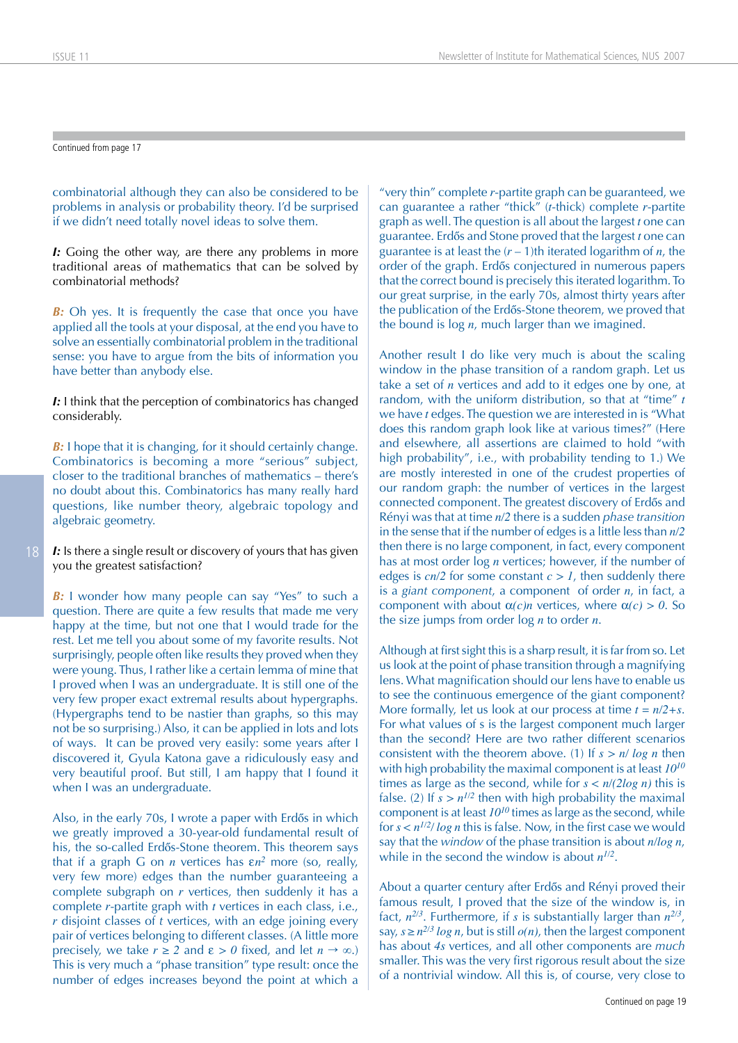combinatorial although they can also be considered to be problems in analysis or probability theory. I'd be surprised if we didn't need totally novel ideas to solve them.

*I*: Going the other way, are there any problems in more traditional areas of mathematics that can be solved by combinatorial methods?

*B*: Oh yes. It is frequently the case that once you have applied all the tools at your disposal, at the end you have to solve an essentially combinatorial problem in the traditional sense: you have to argue from the bits of information you have better than anybody else.

*I:* I think that the perception of combinatorics has changed considerably.

*B*: I hope that it is changing, for it should certainly change. Combinatorics is becoming a more "serious" subject, closer to the traditional branches of mathematics – there's no doubt about this. Combinatorics has many really hard questions, like number theory, algebraic topology and algebraic geometry.

18 *I*: Is there a single result or discovery of yours that has given you the greatest satisfaction?

*B***:** I wonder how many people can say "Yes" to such a question. There are quite a few results that made me very happy at the time, but not one that I would trade for the rest. Let me tell you about some of my favorite results. Not surprisingly, people often like results they proved when they were young. Thus, I rather like a certain lemma of mine that I proved when I was an undergraduate. It is still one of the very few proper exact extremal results about hypergraphs. (Hypergraphs tend to be nastier than graphs, so this may not be so surprising.) Also, it can be applied in lots and lots of ways. It can be proved very easily: some years after I discovered it, Gyula Katona gave a ridiculously easy and very beautiful proof. But still, I am happy that I found it when I was an undergraduate.

Also, in the early 70s, I wrote a paper with Erdős in which we greatly improved a 30-year-old fundamental result of his, the so-called Erdős-Stone theorem. This theorem says that if a graph G on *n* vertices has  $\epsilon n^2$  more (so, really, very few more) edges than the number guaranteeing a complete subgraph on *r* vertices, then suddenly it has a complete *r*-partite graph with *t* vertices in each class, i.e., *r* disjoint classes of *t* vertices, with an edge joining every pair of vertices belonging to different classes. (A little more precisely, we take  $r \ge 2$  and  $\varepsilon > 0$  fixed, and let  $n \to \infty$ .) This is very much a "phase transition" type result: once the number of edges increases beyond the point at which a

"very thin" complete *r*-partite graph can be guaranteed, we can guarantee a rather "thick" (*t*-thick) complete *r*-partite graph as well. The question is all about the largest *t* one can guarantee. Erdős and Stone proved that the largest *t* one can guarantee is at least the  $(r - 1)$ th iterated logarithm of *n*, the order of the graph. Erdős conjectured in numerous papers that the correct bound is precisely this iterated logarithm. To our great surprise, in the early 70s, almost thirty years after the publication of the Erdős-Stone theorem, we proved that the bound is log *n*, much larger than we imagined.

Another result I do like very much is about the scaling window in the phase transition of a random graph. Let us take a set of *n* vertices and add to it edges one by one, at random, with the uniform distribution, so that at "time" *t* we have *t* edges. The question we are interested in is "What does this random graph look like at various times?" (Here and elsewhere, all assertions are claimed to hold "with high probability", i.e., with probability tending to 1.) We are mostly interested in one of the crudest properties of our random graph: the number of vertices in the largest connected component. The greatest discovery of Erdős and Rényi was that at time *n/2* there is a sudden *phase transition*  in the sense that if the number of edges is a little less than *n/2* then there is no large component, in fact, every component has at most order log *n* vertices; however, if the number of edges is  $cn/2$  for some constant  $c > 1$ , then suddenly there is a *giant component*, a component of order *n*, in fact, a component with about α*(c)n* vertices, where α*(c) > 0*. So the size jumps from order log *n* to order *n*.

Although at first sight this is a sharp result, it is far from so. Let us look at the point of phase transition through a magnifying lens. What magnification should our lens have to enable us to see the continuous emergence of the giant component? More formally, let us look at our process at time *t = n/2+s*. For what values of s is the largest component much larger than the second? Here are two rather different scenarios consistent with the theorem above. (1) If *s > n/ log n* then with high probability the maximal component is at least *10<sup>10</sup>* times as large as the second, while for *s < n/(2log n)* this is false. (2) If  $\tilde{s} > n^{1/2}$  then with high probability the maximal component is at least *1010* times as large as the second, while for  $s < n^{1/2}/\log n$  this is false. Now, in the first case we would say that the *window* of the phase transition is about *n/log n*, while in the second the window is about  $n^{1/2}$ .

About a quarter century after Erdős and Rényi proved their famous result, I proved that the size of the window is, in fact, *n 2/3*. Furthermore, if *s* is substantially larger than *n 2/3* , say,  $s \ge n^{2/3} \log n$ , but is still  $o(n)$ , then the largest component has about *4s* vertices, and all other components are *much*  smaller. This was the very first rigorous result about the size of a nontrivial window. All this is, of course, very close to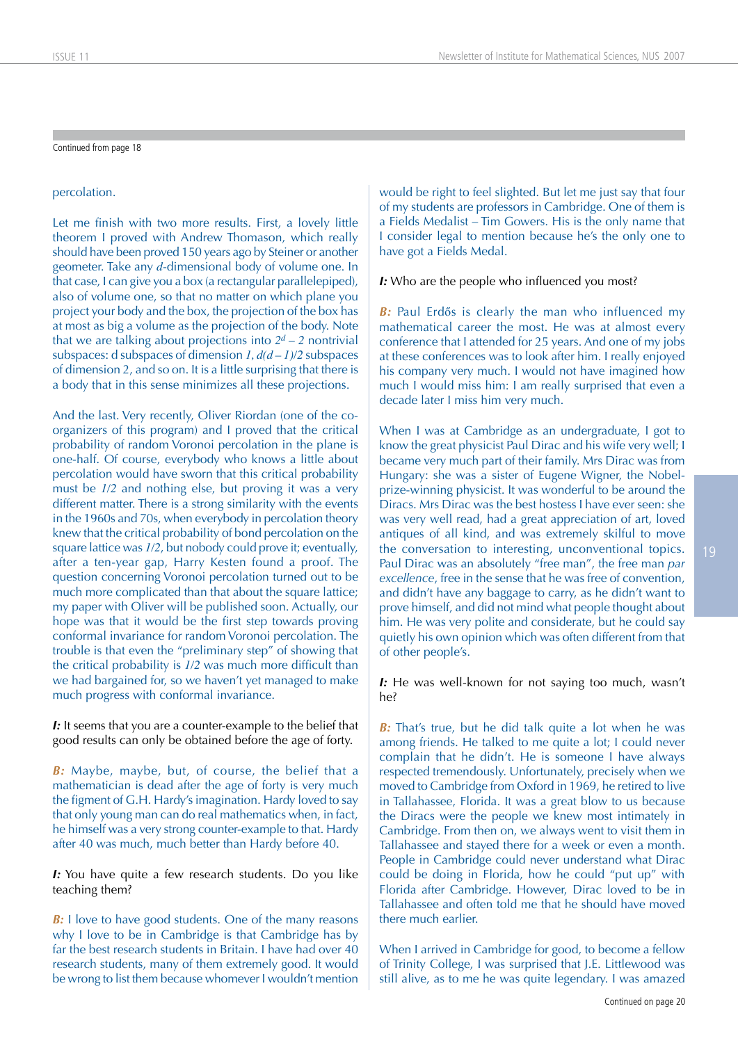### percolation.

Let me finish with two more results. First, a lovely little theorem I proved with Andrew Thomason, which really should have been proved 150 years ago by Steiner or another geometer. Take any *d*-dimensional body of volume one. In that case, I can give you a box (a rectangular parallelepiped), also of volume one, so that no matter on which plane you project your body and the box, the projection of the box has at most as big a volume as the projection of the body. Note that we are talking about projections into  $2^d - 2$  nontrivial subspaces: d subspaces of dimension *1, d(d – 1)/2* subspaces of dimension 2, and so on. It is a little surprising that there is a body that in this sense minimizes all these projections.

And the last. Very recently, Oliver Riordan (one of the coorganizers of this program) and I proved that the critical probability of random Voronoi percolation in the plane is one-half. Of course, everybody who knows a little about percolation would have sworn that this critical probability must be *1/2* and nothing else, but proving it was a very different matter. There is a strong similarity with the events in the 1960s and 70s, when everybody in percolation theory knew that the critical probability of bond percolation on the square lattice was *1/2*, but nobody could prove it; eventually, after a ten-year gap, Harry Kesten found a proof. The question concerning Voronoi percolation turned out to be much more complicated than that about the square lattice; my paper with Oliver will be published soon. Actually, our hope was that it would be the first step towards proving conformal invariance for random Voronoi percolation. The trouble is that even the "preliminary step" of showing that the critical probability is *1/2* was much more difficult than we had bargained for, so we haven't yet managed to make much progress with conformal invariance.

*I*: It seems that you are a counter-example to the belief that good results can only be obtained before the age of forty.

**B:** Maybe, maybe, but, of course, the belief that a mathematician is dead after the age of forty is very much the figment of G.H. Hardy's imagination. Hardy loved to say that only young man can do real mathematics when, in fact, he himself was a very strong counter-example to that. Hardy after 40 was much, much better than Hardy before 40.

*I:* You have quite a few research students. Do you like teaching them?

*B*: I love to have good students. One of the many reasons why I love to be in Cambridge is that Cambridge has by far the best research students in Britain. I have had over 40 research students, many of them extremely good. It would be wrong to list them because whomever I wouldn't mention would be right to feel slighted. But let me just say that four of my students are professors in Cambridge. One of them is a Fields Medalist – Tim Gowers. His is the only name that I consider legal to mention because he's the only one to have got a Fields Medal.

*I:* Who are the people who influenced you most?

*B*: Paul Erdős is clearly the man who influenced my mathematical career the most. He was at almost every conference that I attended for 25 years. And one of my jobs at these conferences was to look after him. I really enjoyed his company very much. I would not have imagined how much I would miss him: I am really surprised that even a decade later I miss him very much.

When I was at Cambridge as an undergraduate, I got to know the great physicist Paul Dirac and his wife very well; I became very much part of their family. Mrs Dirac was from Hungary: she was a sister of Eugene Wigner, the Nobelprize-winning physicist. It was wonderful to be around the Diracs. Mrs Dirac was the best hostess I have ever seen: she was very well read, had a great appreciation of art, loved antiques of all kind, and was extremely skilful to move the conversation to interesting, unconventional topics. Paul Dirac was an absolutely "free man", the free man *par excellence*, free in the sense that he was free of convention, and didn't have any baggage to carry, as he didn't want to prove himself, and did not mind what people thought about him. He was very polite and considerate, but he could say quietly his own opinion which was often different from that of other people's.

*I:* He was well-known for not saying too much, wasn't he?

*B*: That's true, but he did talk quite a lot when he was among friends. He talked to me quite a lot; I could never complain that he didn't. He is someone I have always respected tremendously. Unfortunately, precisely when we moved to Cambridge from Oxford in 1969, he retired to live in Tallahassee, Florida. It was a great blow to us because the Diracs were the people we knew most intimately in Cambridge. From then on, we always went to visit them in Tallahassee and stayed there for a week or even a month. People in Cambridge could never understand what Dirac could be doing in Florida, how he could "put up" with Florida after Cambridge. However, Dirac loved to be in Tallahassee and often told me that he should have moved there much earlier.

When I arrived in Cambridge for good, to become a fellow of Trinity College, I was surprised that J.E. Littlewood was still alive, as to me he was quite legendary. I was amazed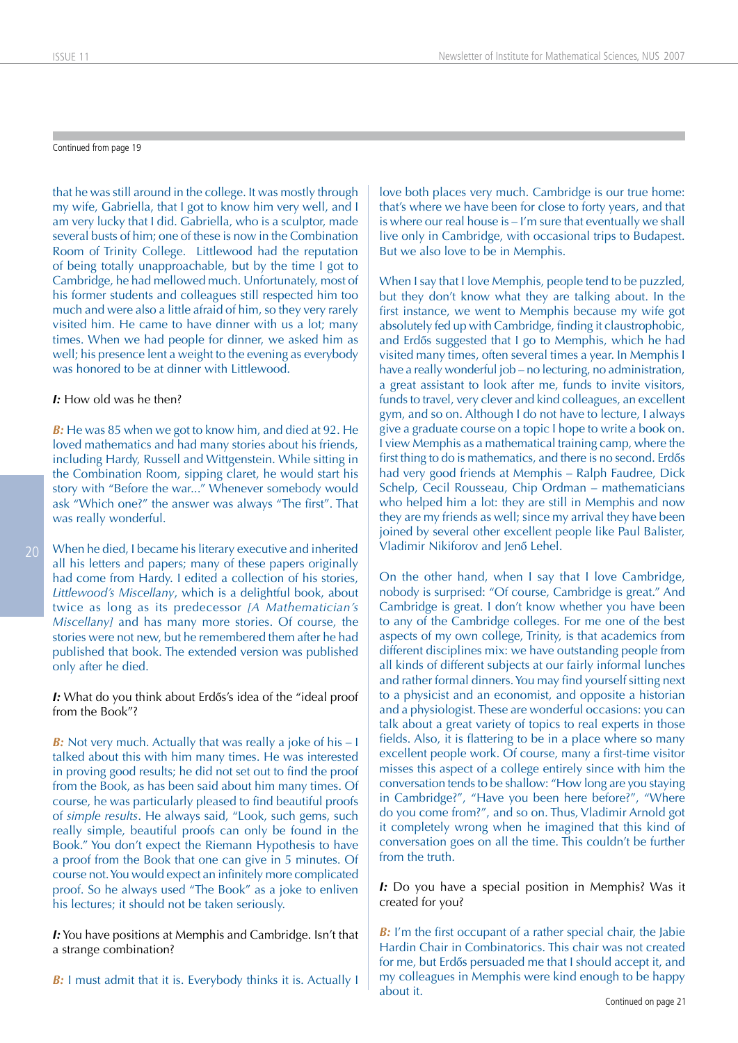that he was still around in the college. It was mostly through my wife, Gabriella, that I got to know him very well, and I am very lucky that I did. Gabriella, who is a sculptor, made several busts of him; one of these is now in the Combination Room of Trinity College. Littlewood had the reputation of being totally unapproachable, but by the time I got to Cambridge, he had mellowed much. Unfortunately, most of his former students and colleagues still respected him too much and were also a little afraid of him, so they very rarely visited him. He came to have dinner with us a lot; many times. When we had people for dinner, we asked him as well; his presence lent a weight to the evening as everybody was honored to be at dinner with Littlewood.

## *I:* How old was he then?

*B:* He was 85 when we got to know him, and died at 92. He loved mathematics and had many stories about his friends, including Hardy, Russell and Wittgenstein. While sitting in the Combination Room, sipping claret, he would start his story with "Before the war..." Whenever somebody would ask "Which one?" the answer was always "The first". That was really wonderful.

When he died, I became his literary executive and inherited all his letters and papers; many of these papers originally had come from Hardy. I edited a collection of his stories, *Littlewood's Miscellany*, which is a delightful book, about twice as long as its predecessor *[A Mathematician's Miscellany]* and has many more stories. Of course, the stories were not new, but he remembered them after he had published that book. The extended version was published only after he died.

*I:* What do you think about Erdős's idea of the "ideal proof from the Book"?

*B*: Not very much. Actually that was really a joke of his – I talked about this with him many times. He was interested in proving good results; he did not set out to find the proof from the Book, as has been said about him many times. Of course, he was particularly pleased to find beautiful proofs of *simple results*. He always said, "Look, such gems, such really simple, beautiful proofs can only be found in the Book." You don't expect the Riemann Hypothesis to have a proof from the Book that one can give in 5 minutes. Of course not. You would expect an infinitely more complicated proof. So he always used "The Book" as a joke to enliven his lectures; it should not be taken seriously.

*I:* You have positions at Memphis and Cambridge. Isn't that a strange combination?

**B:** I must admit that it is. Everybody thinks it is. Actually I

love both places very much. Cambridge is our true home: that's where we have been for close to forty years, and that is where our real house is – I'm sure that eventually we shall live only in Cambridge, with occasional trips to Budapest. But we also love to be in Memphis.

When I say that I love Memphis, people tend to be puzzled, but they don't know what they are talking about. In the first instance, we went to Memphis because my wife got absolutely fed up with Cambridge, finding it claustrophobic, and Erdős suggested that I go to Memphis, which he had visited many times, often several times a year. In Memphis I have a really wonderful job – no lecturing, no administration, a great assistant to look after me, funds to invite visitors, funds to travel, very clever and kind colleagues, an excellent gym, and so on. Although I do not have to lecture, I always give a graduate course on a topic I hope to write a book on. I view Memphis as a mathematical training camp, where the first thing to do is mathematics, and there is no second. Erdős had very good friends at Memphis – Ralph Faudree, Dick Schelp, Cecil Rousseau, Chip Ordman – mathematicians who helped him a lot: they are still in Memphis and now they are my friends as well; since my arrival they have been joined by several other excellent people like Paul Balister, Vladimir Nikiforov and Jenő Lehel.

On the other hand, when I say that I love Cambridge, nobody is surprised: "Of course, Cambridge is great." And Cambridge is great. I don't know whether you have been to any of the Cambridge colleges. For me one of the best aspects of my own college, Trinity, is that academics from different disciplines mix: we have outstanding people from all kinds of different subjects at our fairly informal lunches and rather formal dinners. You may find yourself sitting next to a physicist and an economist, and opposite a historian and a physiologist. These are wonderful occasions: you can talk about a great variety of topics to real experts in those fields. Also, it is flattering to be in a place where so many excellent people work. Of course, many a first-time visitor misses this aspect of a college entirely since with him the conversation tends to be shallow: "How long are you staying in Cambridge?", "Have you been here before?", "Where do you come from?", and so on. Thus, Vladimir Arnold got it completely wrong when he imagined that this kind of conversation goes on all the time. This couldn't be further from the truth.

*I:* Do you have a special position in Memphis? Was it created for you?

*B*: I'm the first occupant of a rather special chair, the Jabie Hardin Chair in Combinatorics. This chair was not created for me, but Erdős persuaded me that I should accept it, and my colleagues in Memphis were kind enough to be happy about it.